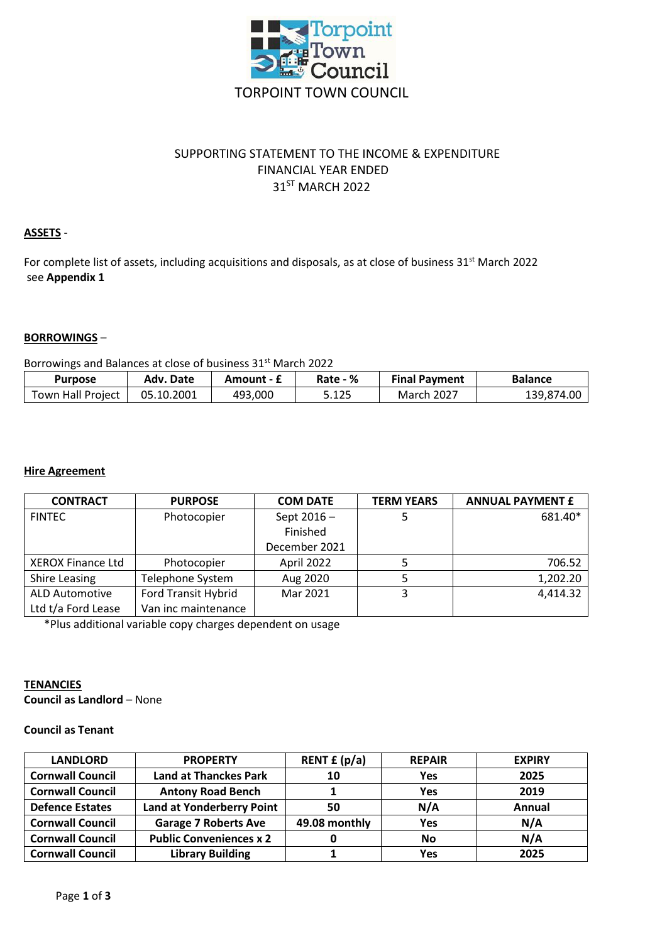

# SUPPORTING STATEMENT TO THE INCOME & EXPENDITURE FINANCIAL YEAR ENDED 31ST MARCH 2022

## **ASSETS** -

For complete list of assets, including acquisitions and disposals, as at close of business 31<sup>st</sup> March 2022 see **Appendix 1**

## **BORROWINGS** –

Borrowings and Balances at close of business 31<sup>st</sup> March 2022

| <b>Purpose</b>    | Adv. Date  | Amount - £ | Rate - % | <b>Final Payment</b> | <b>Balance</b> |
|-------------------|------------|------------|----------|----------------------|----------------|
| Town Hall Project | 05.10.2001 | 493,000    | 5.125    | <b>March 2027</b>    | 139,874.00     |

## **Hire Agreement**

| <b>CONTRACT</b>          | <b>PURPOSE</b>             | <b>COM DATE</b> | <b>TERM YEARS</b> | <b>ANNUAL PAYMENT £</b> |
|--------------------------|----------------------------|-----------------|-------------------|-------------------------|
| <b>FINTEC</b>            | Photocopier                | Sept $2016 -$   |                   | 681.40*                 |
|                          |                            | Finished        |                   |                         |
|                          |                            | December 2021   |                   |                         |
| <b>XEROX Finance Ltd</b> | Photocopier                | April 2022      |                   | 706.52                  |
| <b>Shire Leasing</b>     | Telephone System           | Aug 2020        |                   | 1,202.20                |
| <b>ALD Automotive</b>    | <b>Ford Transit Hybrid</b> | Mar 2021        | 3                 | 4,414.32                |
| Ltd t/a Ford Lease       | Van inc maintenance        |                 |                   |                         |

\*Plus additional variable copy charges dependent on usage

## **TENANCIES**

**Council as Landlord** – None

## **Council as Tenant**

| <b>LANDLORD</b>         | <b>PROPERTY</b>                  | RENT $f(p/a)$ | <b>REPAIR</b> | <b>EXPIRY</b> |
|-------------------------|----------------------------------|---------------|---------------|---------------|
| <b>Cornwall Council</b> | <b>Land at Thanckes Park</b>     | 10            | <b>Yes</b>    | 2025          |
| <b>Cornwall Council</b> | <b>Antony Road Bench</b>         |               | Yes           | 2019          |
| <b>Defence Estates</b>  | <b>Land at Yonderberry Point</b> | 50            | N/A           | Annual        |
| <b>Cornwall Council</b> | <b>Garage 7 Roberts Ave</b>      | 49.08 monthly | Yes           | N/A           |
| <b>Cornwall Council</b> | <b>Public Conveniences x 2</b>   |               | No            | N/A           |
| <b>Cornwall Council</b> | <b>Library Building</b>          |               | Yes           | 2025          |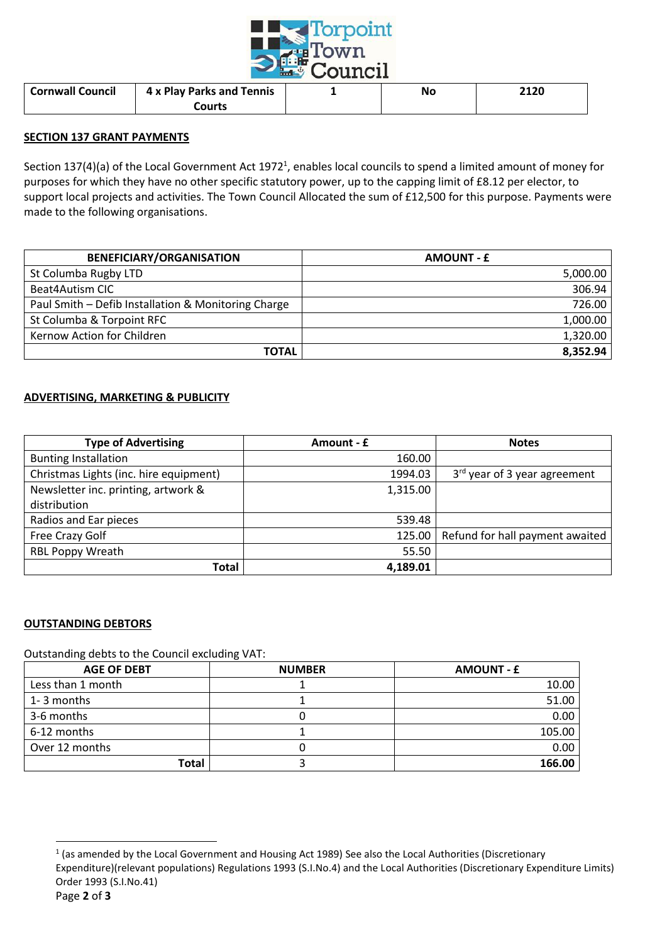

| <b>Cornwall Council</b> | 4 x Play Parks and Tennis | No | 2120 |
|-------------------------|---------------------------|----|------|
|                         | Courts                    |    |      |

### **SECTION 137 GRANT PAYMENTS**

Section 137(4)(a) of the Local Government Act 1972<sup>1</sup>, enables local councils to spend a limited amount of money for purposes for which they have no other specific statutory power, up to the capping limit of £8.12 per elector, to support local projects and activities. The Town Council Allocated the sum of £12,500 for this purpose. Payments were made to the following organisations.

| <b>BENEFICIARY/ORGANISATION</b>                     | <b>AMOUNT - £</b> |
|-----------------------------------------------------|-------------------|
| St Columba Rugby LTD                                | 5,000.00          |
| Beat4Autism CIC                                     | 306.94            |
| Paul Smith - Defib Installation & Monitoring Charge | 726.00            |
| St Columba & Torpoint RFC                           | 1,000.00          |
| Kernow Action for Children                          | 1,320.00          |
| <b>TOTAL</b>                                        | 8,352.94          |

### **ADVERTISING, MARKETING & PUBLICITY**

| <b>Type of Advertising</b>             | Amount - £ | <b>Notes</b>                             |
|----------------------------------------|------------|------------------------------------------|
| <b>Bunting Installation</b>            | 160.00     |                                          |
| Christmas Lights (inc. hire equipment) | 1994.03    | 3 <sup>rd</sup> year of 3 year agreement |
| Newsletter inc. printing, artwork &    | 1,315.00   |                                          |
| distribution                           |            |                                          |
| Radios and Ear pieces                  | 539.48     |                                          |
| Free Crazy Golf                        | 125.00     | Refund for hall payment awaited          |
| <b>RBL Poppy Wreath</b>                | 55.50      |                                          |
| Total                                  | 4,189.01   |                                          |

## **OUTSTANDING DEBTORS**

Outstanding debts to the Council excluding VAT:

| <b>AGE OF DEBT</b> | <b>NUMBER</b> | <b>AMOUNT - £</b> |
|--------------------|---------------|-------------------|
| Less than 1 month  |               | 10.00             |
| 1-3 months         |               | 51.00             |
| 3-6 months         |               | 0.00              |
| 6-12 months        |               | 105.00            |
| Over 12 months     |               | 0.00              |
| Total              |               | 166.00            |

 $\overline{a}$ 

 $<sup>1</sup>$  (as amended by the Local Government and Housing Act 1989) See also the Local Authorities (Discretionary</sup> Expenditure)(relevant populations) Regulations 1993 (S.I.No.4) and the Local Authorities (Discretionary Expenditure Limits) Order 1993 (S.I.No.41)